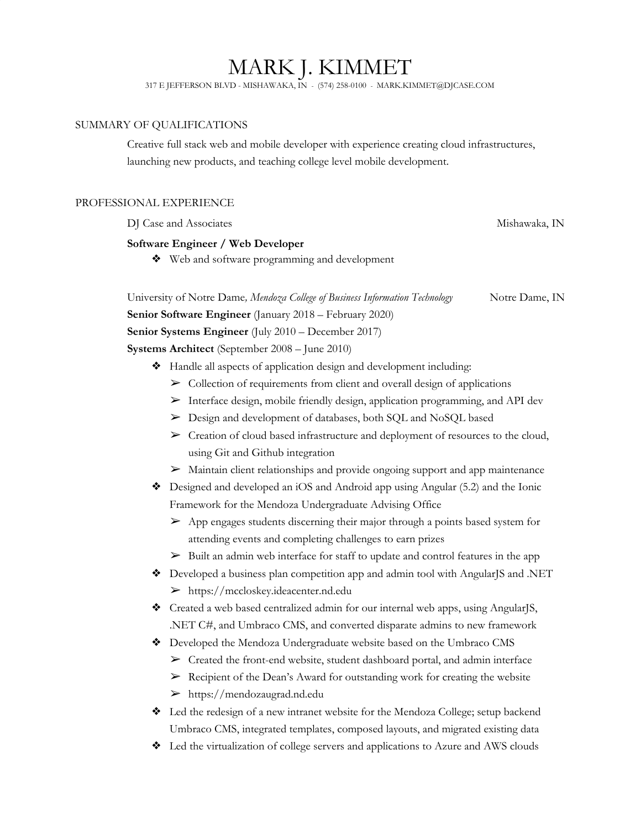# MARK J. KIMMET

317 E JEFFERSON BLVD - MISHAWAKA, IN - (574) 258-0100 - MARK.KIMMET@DJCASE.COM

## SUMMARY OF QUALIFICATIONS

Creative full stack web and mobile developer with experience creating cloud infrastructures, launching new products, and teaching college level mobile development.

## PROFESSIONAL EXPERIENCE

DJ Case and Associates Mishawaka, IN

# **Software Engineer / Web Developer**

❖ Web and software programming and development

University of Notre Dame*, Mendoza College of Business Information Technology* Notre Dame, IN **Senior Software Engineer** (January 2018 – February 2020) **Senior Systems Engineer** (July 2010 – December 2017) **Systems Architect** (September 2008 – June 2010)

- ❖ Handle all aspects of application design and development including:
	- $\triangleright$  Collection of requirements from client and overall design of applications
	- ➢ Interface design, mobile friendly design, application programming, and API dev
	- ➢ Design and development of databases, both SQL and NoSQL based
	- ➢ Creation of cloud based infrastructure and deployment of resources to the cloud, using Git and Github integration
	- ➢ Maintain client relationships and provide ongoing support and app maintenance
- ❖ Designed and developed an iOS and Android app using Angular (5.2) and the Ionic Framework for the Mendoza Undergraduate Advising Office
	- $\triangleright$  App engages students discerning their major through a points based system for attending events and completing challenges to earn prizes
	- ➢ Built an admin web interface for staff to update and control features in the app
- ❖ Developed a business plan competition app and admin tool with AngularJS and .NET ➢ https://mccloskey.ideacenter.nd.edu
- ❖ Created a web based centralized admin for our internal web apps, using AngularJS, .NET C#, and Umbraco CMS, and converted disparate admins to new framework
- ❖ Developed the Mendoza Undergraduate website based on the Umbraco CMS
	- ➢ Created the front-end website, student dashboard portal, and admin interface
	- ➢ Recipient of the Dean's Award for outstanding work for creating the website
	- ➢ https://mendozaugrad.nd.edu
- ❖ Led the redesign of a new intranet website for the Mendoza College; setup backend Umbraco CMS, integrated templates, composed layouts, and migrated existing data
- ❖ Led the virtualization of college servers and applications to Azure and AWS clouds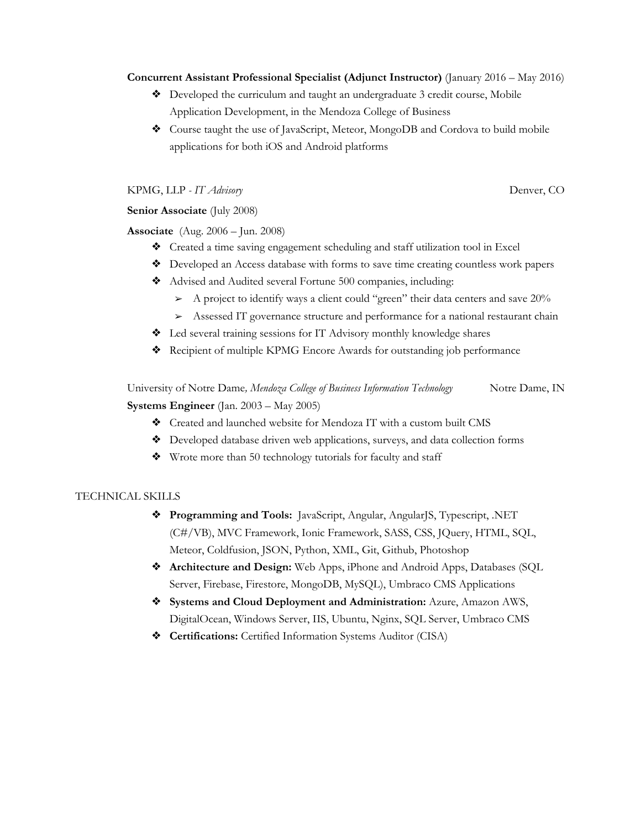#### **Concurrent Assistant Professional Specialist (Adjunct Instructor)** (January 2016 – May 2016)

- ❖ Developed the curriculum and taught an undergraduate 3 credit course, Mobile Application Development, in the Mendoza College of Business
- ❖ Course taught the use of JavaScript, Meteor, MongoDB and Cordova to build mobile applications for both iOS and Android platforms

KPMG, LLP - *IT Advisory* Denver, CO

# **Senior Associate** (July 2008)

**Associate** (Aug. 2006 – Jun. 2008)

- ❖ Created a time saving engagement scheduling and staff utilization tool in Excel
- ❖ Developed an Access database with forms to save time creating countless work papers
- ❖ Advised and Audited several Fortune 500 companies, including:
	- ➢ A project to identify ways a client could "green" their data centers and save 20%
	- ➢ Assessed IT governance structure and performance for a national restaurant chain
- ❖ Led several training sessions for IT Advisory monthly knowledge shares
- ❖ Recipient of multiple KPMG Encore Awards for outstanding job performance

University of Notre Dame*, Mendoza College of Business Information Technology* Notre Dame, IN **Systems Engineer** (Jan. 2003 – May 2005)

- ❖ Created and launched website for Mendoza IT with a custom built CMS
- ❖ Developed database driven web applications, surveys, and data collection forms
- ❖ Wrote more than 50 technology tutorials for faculty and staff

## TECHNICAL SKILLS

- ❖ **Programming and Tools:** JavaScript, Angular, AngularJS, Typescript, .NET (C#/VB), MVC Framework, Ionic Framework, SASS, CSS, JQuery, HTML, SQL, Meteor, Coldfusion, JSON, Python, XML, Git, Github, Photoshop
- ❖ **Architecture and Design:** Web Apps, iPhone and Android Apps, Databases (SQL Server, Firebase, Firestore, MongoDB, MySQL), Umbraco CMS Applications
- ❖ **Systems and Cloud Deployment and Administration:** Azure, Amazon AWS, DigitalOcean, Windows Server, IIS, Ubuntu, Nginx, SQL Server, Umbraco CMS
- ❖ **Certifications:** Certified Information Systems Auditor (CISA)